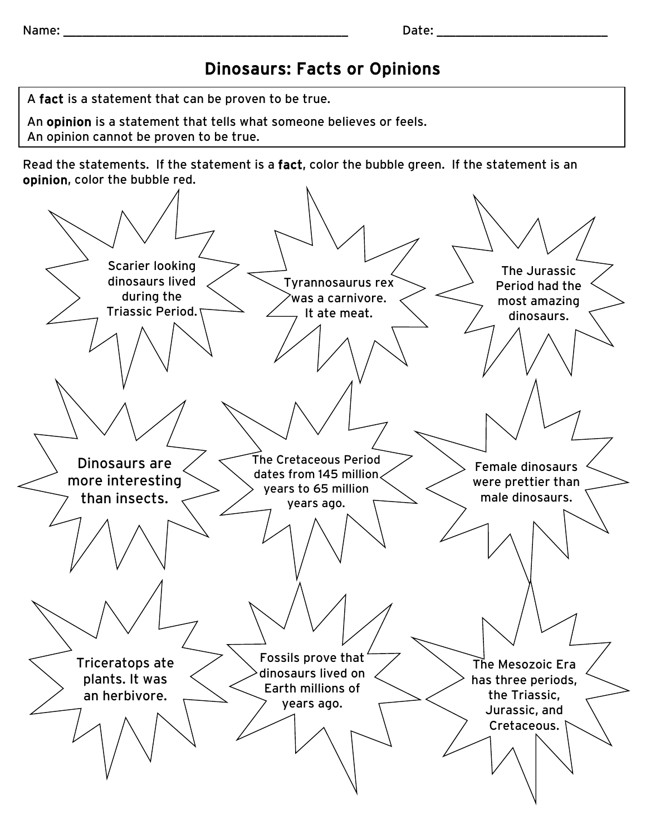## Dinosaurs: Facts or Opinions

A fact is a statement that can be proven to be true.

An opinion is a statement that tells what someone believes or feels.

An opinion cannot be proven to be true.

Read the statements. If the statement is a fact, color the bubble green. If the statement is an opinion, color the bubble red.